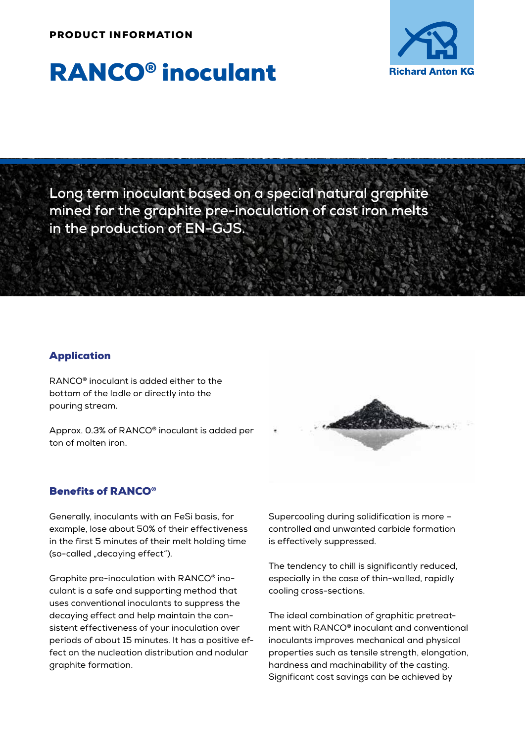#### PRODUCT INFORMATION



# RANCO® inoculant

**Long term inoculant based on a special natural graphite mined for the graphite pre-inoculation of cast iron melts in the production of EN-GJS.**

### Application

RANCO® inoculant is added either to the bottom of the ladle or directly into the pouring stream.

Approx. 0.3% of RANCO® inoculant is added per ton of molten iron.



Generally, inoculants with an FeSi basis, for example, lose about 50% of their effectiveness in the first 5 minutes of their melt holding time (so-called "decaying effect").

Graphite pre-inoculation with RANCO® inoculant is a safe and supporting method that uses conventional inoculants to suppress the decaying effect and help maintain the consistent effectiveness of your inoculation over periods of about 15 minutes. It has a positive effect on the nucleation distribution and nodular graphite formation.



Supercooling during solidification is more – controlled and unwanted carbide formation is effectively suppressed.

The tendency to chill is significantly reduced, especially in the case of thin-walled, rapidly cooling cross-sections.

The ideal combination of graphitic pretreatment with RANCO® inoculant and conventional inoculants improves mechanical and physical properties such as tensile strength, elongation, hardness and machinability of the casting. Significant cost savings can be achieved by